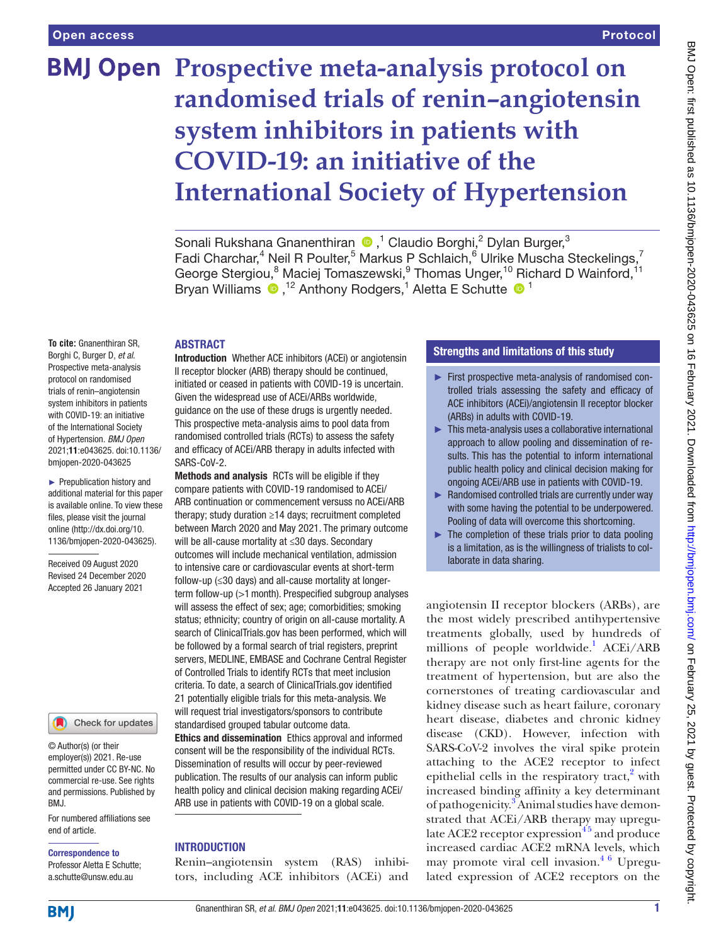# **BMJ Open Prospective meta-analysis protocol on randomised trials of renin–angiotensin system inhibitors in patients with COVID-19: an initiative of the International Society of Hypertension**

Sonali Rukshana Gnanenthiran <sup>®</sup>,<sup>1</sup> Claudio Borghi,<sup>2</sup> Dylan Burger,<sup>3</sup> Fadi Charchar,<sup>4</sup> Neil R Poulter,<sup>5</sup> Markus P Schlaich,<sup>6</sup> Ulrike Muscha Steckelings,<sup>7</sup> George Stergiou,<sup>8</sup> Maciej Tomaszewski, <sup>9</sup> Thomas Unger, <sup>10</sup> Richard D Wainford, <sup>11</sup> BryanWilliams  $\bullet$ ,<sup>12</sup> Anthony Rodgers,<sup>1</sup> Aletta E Schutte  $\bullet$ <sup>1</sup>

#### ABSTRACT

**To cite:** Gnanenthiran SR, Borghi C, Burger D, *et al*. Prospective meta-analysis protocol on randomised trials of renin–angiotensin system inhibitors in patients with COVID-19: an initiative of the International Society of Hypertension. *BMJ Open* 2021;11:e043625. doi:10.1136/ bmjopen-2020-043625

► Prepublication history and additional material for this paper is available online. To view these files, please visit the journal online (http://dx.doi.org/10. 1136/bmjopen-2020-043625).

Received 09 August 2020 Revised 24 December 2020 Accepted 26 January 2021



© Author(s) (or their employer(s)) 2021. Re-use permitted under CC BY-NC. No commercial re-use. See rights and permissions. Published by BMJ.

For numbered affiliations see end of article.

#### Correspondence to

Professor Aletta E Schutte; a.schutte@unsw.edu.au

**Introduction** Whether ACE inhibitors (ACEI) or angiotensin II receptor blocker (ARB) therapy should be continued, initiated or ceased in patients with COVID-19 is uncertain. Given the widespread use of ACEi/ARBs worldwide, guidance on the use of these drugs is urgently needed. This prospective meta-analysis aims to pool data from randomised controlled trials (RCTs) to assess the safety and efficacy of ACEi/ARB therapy in adults infected with SARS-CoV-2.

Methods and analysis RCTs will be eligible if they compare patients with COVID-19 randomised to ACEi/ ARB continuation or commencement versuss no ACEi/ARB therapy; study duration ≥14 days; recruitment completed between March 2020 and May 2021. The primary outcome will be all-cause mortality at ≤30 days. Secondary outcomes will include mechanical ventilation, admission to intensive care or cardiovascular events at short-term follow-up (≤30 days) and all-cause mortality at longerterm follow-up (>1month). Prespecified subgroup analyses will assess the effect of sex; age; comorbidities; smoking status; ethnicity; country of origin on all-cause mortality. A search of ClinicalTrials.gov has been performed, which will be followed by a formal search of trial registers, preprint servers, MEDLINE, EMBASE and Cochrane Central Register of Controlled Trials to identify RCTs that meet inclusion criteria. To date, a search of ClinicalTrials.gov identified 21 potentially eligible trials for this meta-analysis. We will request trial investigators/sponsors to contribute standardised grouped tabular outcome data.

Ethics and dissemination Ethics approval and informed consent will be the responsibility of the individual RCTs. Dissemination of results will occur by peer-reviewed publication. The results of our analysis can inform public health policy and clinical decision making regarding ACEi/ ARB use in patients with COVID-19 on a global scale.

# **INTRODUCTION**

Renin–angiotensin system (RAS) inhibitors, including ACE inhibitors (ACEi) and

# Strengths and limitations of this study

- ► First prospective meta-analysis of randomised controlled trials assessing the safety and efficacy of ACE inhibitors (ACEi)/angiotensin II receptor blocker (ARBs) in adults with COVID-19.
- ► This meta-analysis uses a collaborative international approach to allow pooling and dissemination of results. This has the potential to inform international public health policy and clinical decision making for ongoing ACEi/ARB use in patients with COVID-19.
- ► Randomised controlled trials are currently under way with some having the potential to be underpowered. Pooling of data will overcome this shortcoming.
- ► The completion of these trials prior to data pooling is a limitation, as is the willingness of trialists to collaborate in data sharing.

angiotensin II receptor blockers (ARBs), are the most widely prescribed antihypertensive treatments globally, used by hundreds of millions of people worldwide.<sup>1</sup> ACEi/ARB therapy are not only first-line agents for the treatment of hypertension, but are also the cornerstones of treating cardiovascular and kidney disease such as heart failure, coronary heart disease, diabetes and chronic kidney disease (CKD). However, infection with SARS-CoV-2 involves the viral spike protein attaching to the ACE2 receptor to infect epithelial cells in the respiratory tract, $2$  with increased binding affinity a key determinant of pathogenicity.<sup>[3](#page-5-2)</sup> Animal studies have demonstrated that ACEi/ARB therapy may upregulate ACE2 receptor expression $45$  and produce increased cardiac ACE2 mRNA levels, which may promote viral cell invasion. $46$  Upregulated expression of ACE2 receptors on the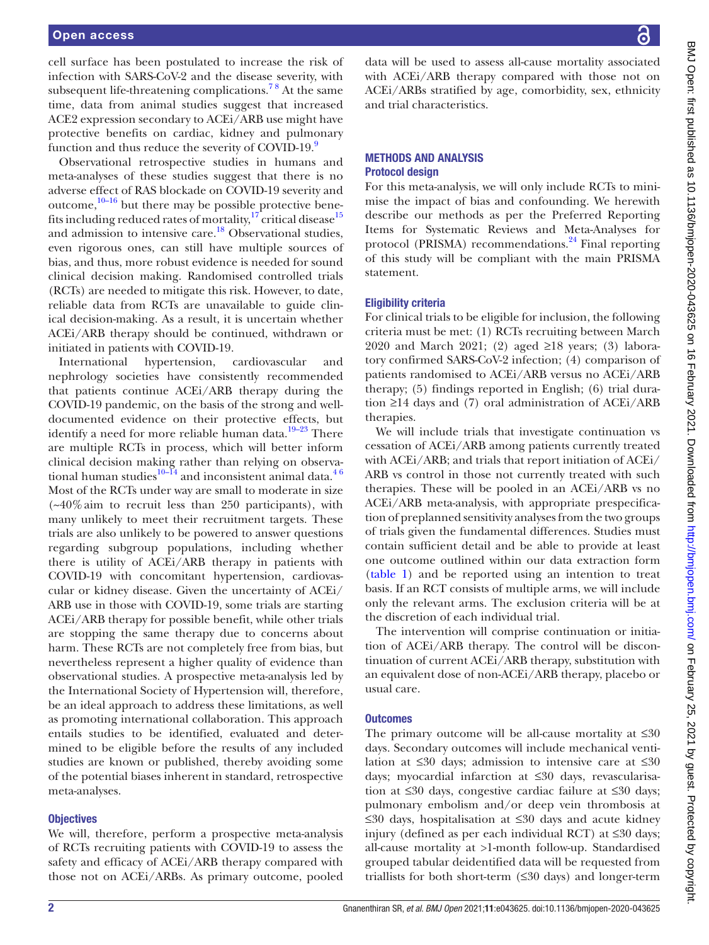#### Open access

cell surface has been postulated to increase the risk of infection with SARS-CoV-2 and the disease severity, with subsequent life-threatening complications.<sup>78</sup> At the same time, data from animal studies suggest that increased ACE2 expression secondary to ACEi/ARB use might have protective benefits on cardiac, kidney and pulmonary function and thus reduce the severity of COVID-19.<sup>9</sup>

Observational retrospective studies in humans and meta-analyses of these studies suggest that there is no adverse effect of RAS blockade on COVID-19 severity and outcome, $10-16$  but there may be possible protective benefits including reduced rates of mortality, $17$  critical disease  $15$ and admission to intensive care.<sup>18</sup> Observational studies, even rigorous ones, can still have multiple sources of bias, and thus, more robust evidence is needed for sound clinical decision making. Randomised controlled trials (RCTs) are needed to mitigate this risk. However, to date, reliable data from RCTs are unavailable to guide clinical decision-making. As a result, it is uncertain whether ACEi/ARB therapy should be continued, withdrawn or initiated in patients with COVID-19.

International hypertension, cardiovascular and nephrology societies have consistently recommended that patients continue ACEi/ARB therapy during the COVID-19 pandemic, on the basis of the strong and welldocumented evidence on their protective effects, but identify a need for more reliable human data.[19–23](#page-6-3) There are multiple RCTs in process, which will better inform clinical decision making rather than relying on observational human studies $10-\frac{14}{4}$  and inconsistent animal data.<sup>46</sup> Most of the RCTs under way are small to moderate in size  $(-40\%$  aim to recruit less than 250 participants), with many unlikely to meet their recruitment targets. These trials are also unlikely to be powered to answer questions regarding subgroup populations, including whether there is utility of ACEi/ARB therapy in patients with COVID-19 with concomitant hypertension, cardiovascular or kidney disease. Given the uncertainty of ACEi/ ARB use in those with COVID-19, some trials are starting ACEi/ARB therapy for possible benefit, while other trials are stopping the same therapy due to concerns about harm. These RCTs are not completely free from bias, but nevertheless represent a higher quality of evidence than observational studies. A prospective meta-analysis led by the International Society of Hypertension will, therefore, be an ideal approach to address these limitations, as well as promoting international collaboration. This approach entails studies to be identified, evaluated and determined to be eligible before the results of any included studies are known or published, thereby avoiding some of the potential biases inherent in standard, retrospective meta-analyses.

#### **Objectives**

We will, therefore, perform a prospective meta-analysis of RCTs recruiting patients with COVID-19 to assess the safety and efficacy of ACEi/ARB therapy compared with those not on ACEi/ARBs. As primary outcome, pooled

data will be used to assess all-cause mortality associated with ACEi/ARB therapy compared with those not on ACEi/ARBs stratified by age, comorbidity, sex, ethnicity and trial characteristics.

#### METHODS AND ANALYSIS Protocol design

For this meta-analysis, we will only include RCTs to minimise the impact of bias and confounding. We herewith describe our methods as per the Preferred Reporting Items for Systematic Reviews and Meta-Analyses for protocol (PRISMA) recommendations.<sup>24</sup> Final reporting of this study will be compliant with the main PRISMA statement.

#### Eligibility criteria

For clinical trials to be eligible for inclusion, the following criteria must be met: (1) RCTs recruiting between March 2020 and March 2021; (2) aged ≥18 years; (3) laboratory confirmed SARS-CoV-2 infection; (4) comparison of patients randomised to ACEi/ARB versus no ACEi/ARB therapy; (5) findings reported in English; (6) trial duration  $\geq$ 14 days and (7) oral administration of ACEi/ARB therapies.

We will include trials that investigate continuation vs cessation of ACEi/ARB among patients currently treated with ACEi/ARB; and trials that report initiation of ACEi/ ARB vs control in those not currently treated with such therapies. These will be pooled in an ACEi/ARB vs no ACEi/ARB meta-analysis, with appropriate prespecification of preplanned sensitivity analyses from the two groups of trials given the fundamental differences. Studies must contain sufficient detail and be able to provide at least one outcome outlined within our data extraction form [\(table](#page-2-0) 1) and be reported using an intention to treat basis. If an RCT consists of multiple arms, we will include only the relevant arms. The exclusion criteria will be at the discretion of each individual trial.

The intervention will comprise continuation or initiation of ACEi/ARB therapy. The control will be discontinuation of current ACEi/ARB therapy, substitution with an equivalent dose of non-ACEi/ARB therapy, placebo or usual care.

#### **Outcomes**

The primary outcome will be all-cause mortality at ≤30 days. Secondary outcomes will include mechanical ventilation at ≤30 days; admission to intensive care at ≤30 days; myocardial infarction at ≤30 days, revascularisation at ≤30 days, congestive cardiac failure at ≤30 days; pulmonary embolism and/or deep vein thrombosis at ≤30 days, hospitalisation at ≤30 days and acute kidney injury (defined as per each individual RCT) at ≤30 days; all-cause mortality at >1-month follow-up. Standardised grouped tabular deidentified data will be requested from triallists for both short-term (≤30 days) and longer-term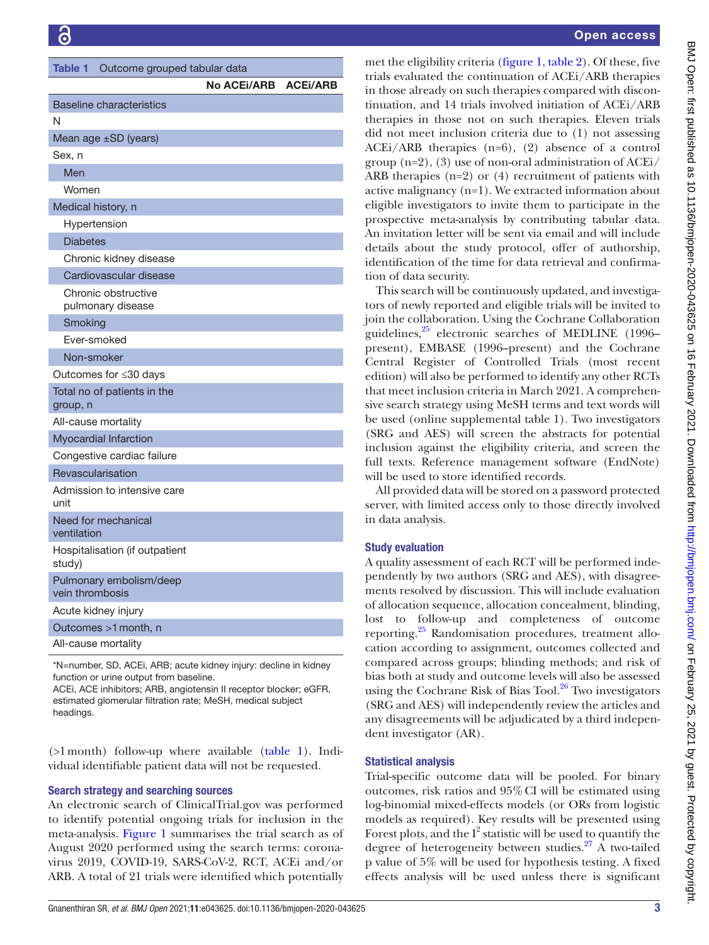<span id="page-2-0"></span>

| <b>Table 1</b>                             | Outcome grouped tabular data |                 |  |  |  |  |  |
|--------------------------------------------|------------------------------|-----------------|--|--|--|--|--|
|                                            | <b>No ACEI/ARB</b>           | <b>ACEI/ARB</b> |  |  |  |  |  |
| <b>Baseline characteristics</b>            |                              |                 |  |  |  |  |  |
| N                                          |                              |                 |  |  |  |  |  |
| Mean age ±SD (years)                       |                              |                 |  |  |  |  |  |
| Sex, n                                     |                              |                 |  |  |  |  |  |
| Men                                        |                              |                 |  |  |  |  |  |
| Women                                      |                              |                 |  |  |  |  |  |
| Medical history, n                         |                              |                 |  |  |  |  |  |
| Hypertension                               |                              |                 |  |  |  |  |  |
| <b>Diabetes</b>                            |                              |                 |  |  |  |  |  |
| Chronic kidney disease                     |                              |                 |  |  |  |  |  |
| Cardiovascular disease                     |                              |                 |  |  |  |  |  |
| Chronic obstructive<br>pulmonary disease   |                              |                 |  |  |  |  |  |
| Smoking                                    |                              |                 |  |  |  |  |  |
| Ever-smoked                                |                              |                 |  |  |  |  |  |
| Non-smoker                                 |                              |                 |  |  |  |  |  |
| Outcomes for ≤30 days                      |                              |                 |  |  |  |  |  |
| Total no of patients in the<br>group, n    |                              |                 |  |  |  |  |  |
| All-cause mortality                        |                              |                 |  |  |  |  |  |
| Myocardial Infarction                      |                              |                 |  |  |  |  |  |
| Congestive cardiac failure                 |                              |                 |  |  |  |  |  |
| Revascularisation                          |                              |                 |  |  |  |  |  |
| Admission to intensive care<br>unit        |                              |                 |  |  |  |  |  |
| Need for mechanical<br>ventilation         |                              |                 |  |  |  |  |  |
| Hospitalisation (if outpatient<br>study)   |                              |                 |  |  |  |  |  |
| Pulmonary embolism/deep<br>vein thrombosis |                              |                 |  |  |  |  |  |
| Acute kidney injury                        |                              |                 |  |  |  |  |  |
| Outcomes >1 month, n                       |                              |                 |  |  |  |  |  |
| All-cause mortality                        |                              |                 |  |  |  |  |  |
|                                            |                              |                 |  |  |  |  |  |

\*N=number, SD, ACEi, ARB; acute kidney injury: decline in kidney function or urine output from baseline.

ACEi, ACE inhibitors; ARB, angiotensin II receptor blocker; eGFR, estimated glomerular filtration rate; MeSH, medical subject headings.

 $($ >1 month) follow-up where available ([table](#page-2-0) 1). Individual identifiable patient data will not be requested.

# Search strategy and searching sources

An electronic search of ClinicalTrial.gov was performed to identify potential ongoing trials for inclusion in the meta-analysis. [Figure](#page-3-0) 1 summarises the trial search as of August 2020 performed using the search terms: coronavirus 2019, COVID-19, SARS-CoV-2, RCT, ACEi and/or ARB. A total of 21 trials were identified which potentially

# Open access

met the eligibility criteria [\(figure](#page-3-0) 1, [table](#page-4-0) 2). Of these, five trials evaluated the continuation of ACEi/ARB therapies in those already on such therapies compared with discontinuation, and 14 trials involved initiation of ACEi/ARB therapies in those not on such therapies. Eleven trials did not meet inclusion criteria due to (1) not assessing ACEi/ARB therapies (n=6), (2) absence of a control group  $(n=2)$ , (3) use of non-oral administration of ACEi/ ARB therapies (n=2) or (4) recruitment of patients with active malignancy (n=1). We extracted information about eligible investigators to invite them to participate in the prospective meta-analysis by contributing tabular data. An invitation letter will be sent via email and will include details about the study protocol, offer of authorship, identification of the time for data retrieval and confirmation of data security.

This search will be continuously updated, and investigators of newly reported and eligible trials will be invited to join the collaboration. Using the Cochrane Collaboration guidelines,<sup>25</sup> electronic searches of MEDLINE (1996– present), EMBASE (1996–present) and the Cochrane Central Register of Controlled Trials (most recent edition) will also be performed to identify any other RCTs that meet inclusion criteria in March 2021. A comprehensive search strategy using MeSH terms and text words will be used ([online supplemental table 1](https://dx.doi.org/10.1136/bmjopen-2020-043625)). Two investigators (SRG and AES) will screen the abstracts for potential inclusion against the eligibility criteria, and screen the full texts. Reference management software (EndNote) will be used to store identified records.

All provided data will be stored on a password protected server, with limited access only to those directly involved in data analysis.

# Study evaluation

A quality assessment of each RCT will be performed independently by two authors (SRG and AES), with disagreements resolved by discussion. This will include evaluation of allocation sequence, allocation concealment, blinding, lost to follow-up and completeness of outcome reporting[.25](#page-6-5) Randomisation procedures, treatment allocation according to assignment, outcomes collected and compared across groups; blinding methods; and risk of bias both at study and outcome levels will also be assessed using the Cochrane Risk of Bias Tool. $26$  Two investigators (SRG and AES) will independently review the articles and any disagreements will be adjudicated by a third independent investigator (AR).

#### Statistical analysis

Trial-specific outcome data will be pooled. For binary outcomes, risk ratios and 95%CI will be estimated using log-binomial mixed-effects models (or ORs from logistic models as required). Key results will be presented using Forest plots, and the  $I^2$  statistic will be used to quantify the degree of heterogeneity between studies.<sup>27</sup> A two-tailed p value of 5% will be used for hypothesis testing. A fixed effects analysis will be used unless there is significant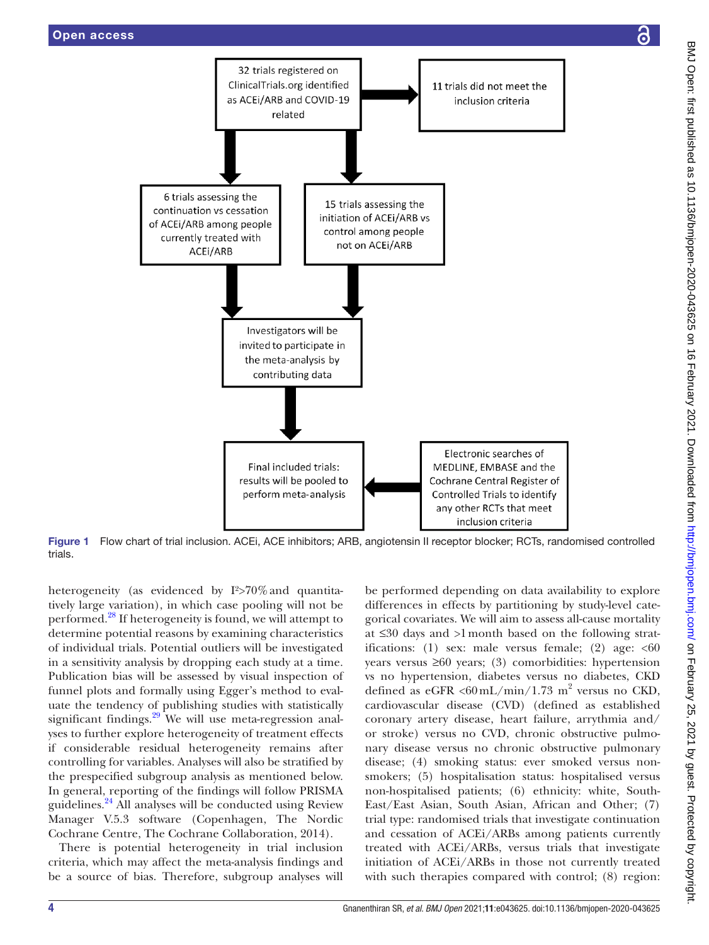

<span id="page-3-0"></span>

Figure 1 Flow chart of trial inclusion. ACEi, ACE inhibitors; ARB, angiotensin II receptor blocker; RCTs, randomised controlled trials.

heterogeneity (as evidenced by I<sup>2</sup>>70% and quantitatively large variation), in which case pooling will not be performed.[28](#page-6-8) If heterogeneity is found, we will attempt to determine potential reasons by examining characteristics of individual trials. Potential outliers will be investigated in a sensitivity analysis by dropping each study at a time. Publication bias will be assessed by visual inspection of funnel plots and formally using Egger's method to evaluate the tendency of publishing studies with statistically significant findings. $29$  We will use meta-regression analyses to further explore heterogeneity of treatment effects if considerable residual heterogeneity remains after controlling for variables. Analyses will also be stratified by the prespecified subgroup analysis as mentioned below. In general, reporting of the findings will follow PRISMA guidelines.[24](#page-6-4) All analyses will be conducted using Review Manager V.5.3 software (Copenhagen, The Nordic Cochrane Centre, The Cochrane Collaboration, 2014).

There is potential heterogeneity in trial inclusion criteria, which may affect the meta-analysis findings and be a source of bias. Therefore, subgroup analyses will be performed depending on data availability to explore differences in effects by partitioning by study-level categorical covariates. We will aim to assess all-cause mortality at ≤30 days and >1month based on the following stratifications: (1) sex: male versus female; (2) age:  $<60$ years versus ≥60 years; (3) comorbidities: hypertension vs no hypertension, diabetes versus no diabetes, CKD defined as eGFR <60 mL/min/1.73 m<sup>2</sup> versus no CKD, cardiovascular disease (CVD) (defined as established coronary artery disease, heart failure, arrythmia and/ or stroke) versus no CVD, chronic obstructive pulmonary disease versus no chronic obstructive pulmonary disease; (4) smoking status: ever smoked versus nonsmokers; (5) hospitalisation status: hospitalised versus non-hospitalised patients; (6) ethnicity: white, South-East/East Asian, South Asian, African and Other; (7) trial type: randomised trials that investigate continuation and cessation of ACEi/ARBs among patients currently treated with ACEi/ARBs, versus trials that investigate initiation of ACEi/ARBs in those not currently treated with such therapies compared with control; (8) region: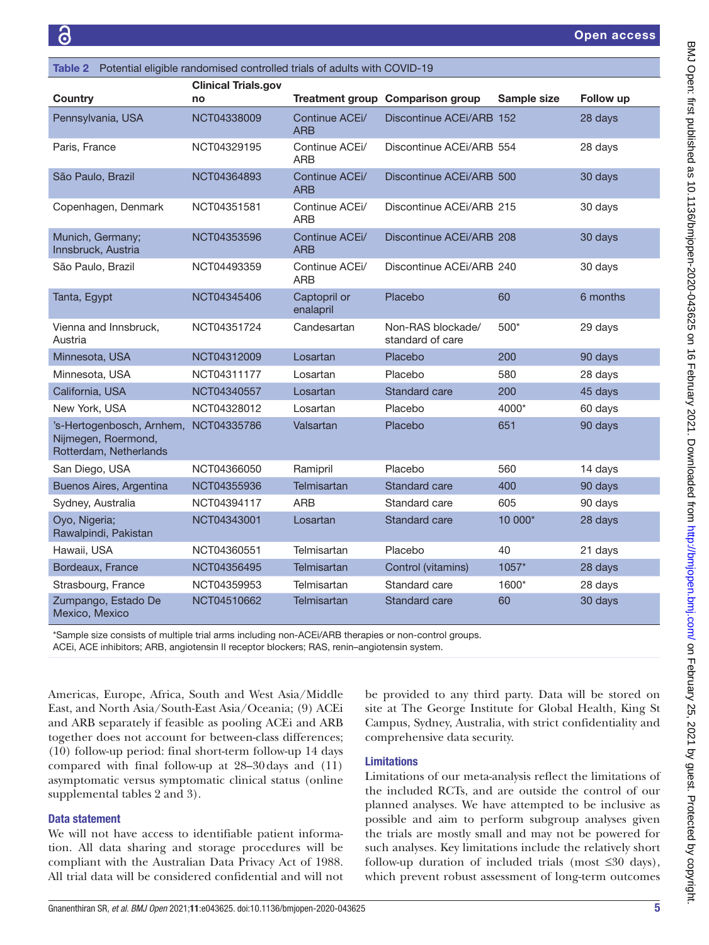<span id="page-4-0"></span>

| Table 2 Potential eligible randomised controlled trials of adults with COVID-19 |                            |                              |                                         |             |           |  |  |  |
|---------------------------------------------------------------------------------|----------------------------|------------------------------|-----------------------------------------|-------------|-----------|--|--|--|
| Country                                                                         | <b>Clinical Trials.gov</b> |                              | <b>Treatment group Comparison group</b> | Sample size | Follow up |  |  |  |
|                                                                                 | no                         |                              |                                         |             |           |  |  |  |
| Pennsylvania, USA                                                               | NCT04338009                | Continue ACEi/<br><b>ARB</b> | Discontinue ACEi/ARB 152                |             | 28 days   |  |  |  |
| Paris, France                                                                   | NCT04329195                | Continue ACEi/<br><b>ARB</b> | Discontinue ACEI/ARB 554                |             | 28 days   |  |  |  |
| São Paulo, Brazil                                                               | NCT04364893                | Continue ACEi/<br><b>ARB</b> | Discontinue ACEi/ARB 500                |             | 30 days   |  |  |  |
| Copenhagen, Denmark                                                             | NCT04351581                | Continue ACEi/<br><b>ARB</b> | Discontinue ACEI/ARB 215                |             | 30 days   |  |  |  |
| Munich, Germany;<br>Innsbruck, Austria                                          | NCT04353596                | Continue ACEi/<br><b>ARB</b> | Discontinue ACEi/ARB 208                |             | 30 days   |  |  |  |
| São Paulo, Brazil                                                               | NCT04493359                | Continue ACEi/<br><b>ARB</b> | Discontinue ACEI/ARB 240                |             | 30 days   |  |  |  |
| Tanta, Egypt                                                                    | NCT04345406                | Captopril or<br>enalapril    | Placebo                                 | 60          | 6 months  |  |  |  |
| Vienna and Innsbruck,<br>Austria                                                | NCT04351724                | Candesartan                  | Non-RAS blockade/<br>standard of care   | 500*        | 29 days   |  |  |  |
| Minnesota, USA                                                                  | NCT04312009                | Losartan                     | Placebo                                 | 200         | 90 days   |  |  |  |
| Minnesota, USA                                                                  | NCT04311177                | Losartan                     | Placebo                                 | 580         | 28 days   |  |  |  |
| California, USA                                                                 | NCT04340557                | Losartan                     | Standard care                           | 200         | 45 days   |  |  |  |
| New York, USA                                                                   | NCT04328012                | Losartan                     | Placebo                                 | 4000*       | 60 days   |  |  |  |
| 's-Hertogenbosch, Arnhem,<br>Nijmegen, Roermond,<br>Rotterdam, Netherlands      | NCT04335786                | Valsartan                    | Placebo                                 | 651         | 90 days   |  |  |  |
| San Diego, USA                                                                  | NCT04366050                | Ramipril                     | Placebo                                 | 560         | 14 days   |  |  |  |
| Buenos Aires, Argentina                                                         | NCT04355936                | Telmisartan                  | <b>Standard care</b>                    | 400         | 90 days   |  |  |  |
| Sydney, Australia                                                               | NCT04394117                | <b>ARB</b>                   | Standard care                           | 605         | 90 days   |  |  |  |
| Oyo, Nigeria;<br>Rawalpindi, Pakistan                                           | NCT04343001                | Losartan                     | Standard care                           | 10 000*     | 28 days   |  |  |  |
| Hawaii, USA                                                                     | NCT04360551                | Telmisartan                  | Placebo                                 | 40          | 21 days   |  |  |  |
| Bordeaux, France                                                                | NCT04356495                | Telmisartan                  | Control (vitamins)                      | 1057*       | 28 days   |  |  |  |
| Strasbourg, France                                                              | NCT04359953                | Telmisartan                  | Standard care                           | 1600*       | 28 days   |  |  |  |
| Zumpango, Estado De<br>Mexico, Mexico                                           | NCT04510662                | Telmisartan                  | Standard care                           | 60          | 30 days   |  |  |  |

\*Sample size consists of multiple trial arms including non-ACEi/ARB therapies or non-control groups. ACEi, ACE inhibitors; ARB, angiotensin II receptor blockers; RAS, renin–angiotensin system.

Americas, Europe, Africa, South and West Asia/Middle East, and North Asia/South-East Asia/Oceania; (9) ACEi and ARB separately if feasible as pooling ACEi and ARB together does not account for between-class differences; (10) follow-up period: final short-term follow-up 14 days compared with final follow-up at 28–30days and (11) asymptomatic versus symptomatic clinical status [\(online](https://dx.doi.org/10.1136/bmjopen-2020-043625) [supplemental tables 2 and 3](https://dx.doi.org/10.1136/bmjopen-2020-043625)).

# Data statement

We will not have access to identifiable patient information. All data sharing and storage procedures will be compliant with the Australian Data Privacy Act of 1988. All trial data will be considered confidential and will not

be provided to any third party. Data will be stored on site at The George Institute for Global Health, King St Campus, Sydney, Australia, with strict confidentiality and comprehensive data security.

#### Limitations

Limitations of our meta-analysis reflect the limitations of the included RCTs, and are outside the control of our planned analyses. We have attempted to be inclusive as possible and aim to perform subgroup analyses given the trials are mostly small and may not be powered for such analyses. Key limitations include the relatively short follow-up duration of included trials (most ≤30 days), which prevent robust assessment of long-term outcomes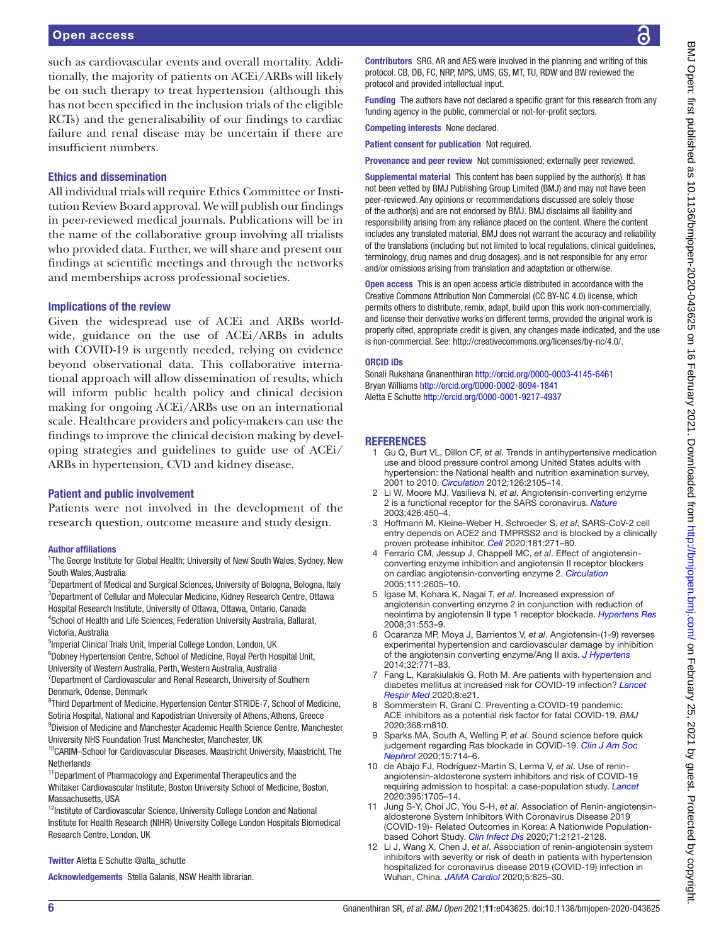such as cardiovascular events and overall mortality. Additionally, the majority of patients on ACEi/ARBs will likely be on such therapy to treat hypertension (although this has not been specified in the inclusion trials of the eligible RCTs) and the generalisability of our findings to cardiac failure and renal disease may be uncertain if there are insufficient numbers.

### Ethics and dissemination

All individual trials will require Ethics Committee or Institution Review Board approval. We will publish our findings in peer-reviewed medical journals. Publications will be in the name of the collaborative group involving all trialists who provided data. Further, we will share and present our findings at scientific meetings and through the networks and memberships across professional societies.

#### Implications of the review

Given the widespread use of ACEi and ARBs worldwide, guidance on the use of ACEi/ARBs in adults with COVID-19 is urgently needed, relying on evidence beyond observational data. This collaborative international approach will allow dissemination of results, which will inform public health policy and clinical decision making for ongoing ACEi/ARBs use on an international scale. Healthcare providers and policy-makers can use the findings to improve the clinical decision making by developing strategies and guidelines to guide use of ACEi/ ARBs in hypertension, CVD and kidney disease.

#### Patient and public involvement

Patients were not involved in the development of the research question, outcome measure and study design.

#### Author affiliations

<sup>1</sup>The George Institute for Global Health; University of New South Wales, Sydney, New South Wales, Australia

<sup>2</sup>Department of Medical and Surgical Sciences, University of Bologna, Bologna, Italy 3 Department of Cellular and Molecular Medicine, Kidney Research Centre, Ottawa Hospital Research Institute, University of Ottawa, Ottawa, Ontario, Canada 4 School of Health and Life Sciences, Federation University Australia, Ballarat, Victoria, Australia

<sup>5</sup>Imperial Clinical Trials Unit, Imperial College London, London, UK

<sup>6</sup>Dobney Hypertension Centre, School of Medicine, Royal Perth Hospital Unit, University of Western Australia, Perth, Western Australia, Australia

<sup>7</sup>Department of Cardiovascular and Renal Research, University of Southern Denmark, Odense, Denmark

<sup>8</sup>Third Department of Medicine, Hypertension Center STRIDE-7, School of Medicine, Sotiria Hospital, National and Kapodistrian University of Athens, Athens, Greece 9 Division of Medicine and Manchester Academic Health Science Centre, Manchester University NHS Foundation Trust Manchester, Manchester, UK

<sup>10</sup>CARIM-School for Cardiovascular Diseases, Maastricht University, Maastricht, The **Netherlands** 

11Department of Pharmacology and Experimental Therapeutics and the Whitaker Cardiovascular Institute, Boston University School of Medicine, Boston, Massachusetts, USA

 $12$ Institute of Cardiovascular Science, University College London and National Institute for Health Research (NIHR) University College London Hospitals Biomedical Research Centre, London, UK

#### Twitter Aletta E Schutte [@alta\\_schutte](https://twitter.com/alta_schutte)

Acknowledgements Stella Galanis, NSW Health librarian.

Contributors SRG, AR and AES were involved in the planning and writing of this protocol. CB, DB, FC, NRP, MPS, UMS, GS, MT, TU, RDW and BW reviewed the protocol and provided intellectual input.

Funding The authors have not declared a specific grant for this research from any funding agency in the public, commercial or not-for-profit sectors.

Competing interests None declared.

Patient consent for publication Not required.

Provenance and peer review Not commissioned; externally peer reviewed.

Supplemental material This content has been supplied by the author(s). It has not been vetted by BMJ Publishing Group Limited (BMJ) and may not have been peer-reviewed. Any opinions or recommendations discussed are solely those of the author(s) and are not endorsed by BMJ. BMJ disclaims all liability and responsibility arising from any reliance placed on the content. Where the content includes any translated material, BMJ does not warrant the accuracy and reliability of the translations (including but not limited to local regulations, clinical guidelines, terminology, drug names and drug dosages), and is not responsible for any error and/or omissions arising from translation and adaptation or otherwise.

Open access This is an open access article distributed in accordance with the Creative Commons Attribution Non Commercial (CC BY-NC 4.0) license, which permits others to distribute, remix, adapt, build upon this work non-commercially, and license their derivative works on different terms, provided the original work is properly cited, appropriate credit is given, any changes made indicated, and the use is non-commercial. See: [http://creativecommons.org/licenses/by-nc/4.0/.](http://creativecommons.org/licenses/by-nc/4.0/)

#### ORCID iDs

Sonali Rukshana Gnanenthiran<http://orcid.org/0000-0003-4145-6461> Bryan Williams <http://orcid.org/0000-0002-8094-1841> Aletta E Schutte <http://orcid.org/0000-0001-9217-4937>

#### **REFERENCES**

- <span id="page-5-0"></span>1 Gu Q, Burt VL, Dillon CF, *et al*. Trends in antihypertensive medication use and blood pressure control among United States adults with hypertension: the National health and nutrition examination survey, 2001 to 2010. *[Circulation](http://dx.doi.org/10.1161/CIRCULATIONAHA.112.096156)* 2012;126:2105–14.
- <span id="page-5-1"></span>2 Li W, Moore MJ, Vasilieva N, *et al*. Angiotensin-converting enzyme 2 is a functional receptor for the SARS coronavirus. *[Nature](http://dx.doi.org/10.1038/nature02145)* 2003;426:450–4.
- <span id="page-5-2"></span>3 Hoffmann M, Kleine-Weber H, Schroeder S, *et al*. SARS-CoV-2 cell entry depends on ACE2 and TMPRSS2 and is blocked by a clinically proven protease inhibitor. *[Cell](http://dx.doi.org/10.1016/j.cell.2020.02.052)* 2020;181:271–80.
- <span id="page-5-3"></span>4 Ferrario CM, Jessup J, Chappell MC, *et al*. Effect of angiotensinconverting enzyme inhibition and angiotensin II receptor blockers on cardiac angiotensin-converting enzyme 2. *[Circulation](http://dx.doi.org/10.1161/CIRCULATIONAHA.104.510461)* 2005;111:2605–10.
- 5 Igase M, Kohara K, Nagai T, *et al*. Increased expression of angiotensin converting enzyme 2 in conjunction with reduction of neointima by angiotensin II type 1 receptor blockade. *[Hypertens Res](http://dx.doi.org/10.1291/hypres.31.553)* 2008;31:553–9.
- 6 Ocaranza MP, Moya J, Barrientos V, *et al*. Angiotensin-(1-9) reverses experimental hypertension and cardiovascular damage by inhibition of the angiotensin converting enzyme/Ang II axis. *[J Hypertens](http://dx.doi.org/10.1097/HJH.0000000000000094)* 2014;32:771–83.
- <span id="page-5-4"></span>7 Fang L, Karakiulakis G, Roth M. Are patients with hypertension and diabetes mellitus at increased risk for COVID-19 infection? *[Lancet](http://dx.doi.org/10.1016/S2213-2600(20)30116-8)  [Respir Med](http://dx.doi.org/10.1016/S2213-2600(20)30116-8)* 2020;8:e21.
- Sommerstein R, Grani C. Preventing a COVID-19 pandemic: ACE inhibitors as a potential risk factor for fatal COVID-19. *BMJ* 2020;368:m810.
- <span id="page-5-5"></span>9 Sparks MA, South A, Welling P, *et al*. Sound science before quick judgement regarding Ras blockade in COVID-19. *[Clin J Am Soc](http://dx.doi.org/10.2215/CJN.03530320)  [Nephrol](http://dx.doi.org/10.2215/CJN.03530320)* 2020;15:714–6.
- <span id="page-5-6"></span>10 de Abajo FJ, Rodríguez-Martín S, Lerma V, *et al*. Use of reninangiotensin-aldosterone system inhibitors and risk of COVID-19 requiring admission to hospital: a case-population study. *[Lancet](http://dx.doi.org/10.1016/S0140-6736(20)31030-8)* 2020;395:1705–14.
- 11 Jung S-Y, Choi JC, You S-H, *et al*. Association of Renin-angiotensinaldosterone System Inhibitors With Coronavirus Disease 2019 (COVID-19)- Related Outcomes in Korea: A Nationwide Populationbased Cohort Study. *[Clin Infect Dis](http://dx.doi.org/10.1093/cid/ciaa624)* 2020;71:2121-2128.
- 12 Li J, Wang X, Chen J, *et al*. Association of renin-angiotensin system inhibitors with severity or risk of death in patients with hypertension hospitalized for coronavirus disease 2019 (COVID-19) infection in Wuhan, China. *[JAMA Cardiol](http://dx.doi.org/10.1001/jamacardio.2020.1624)* 2020;5:825–30.